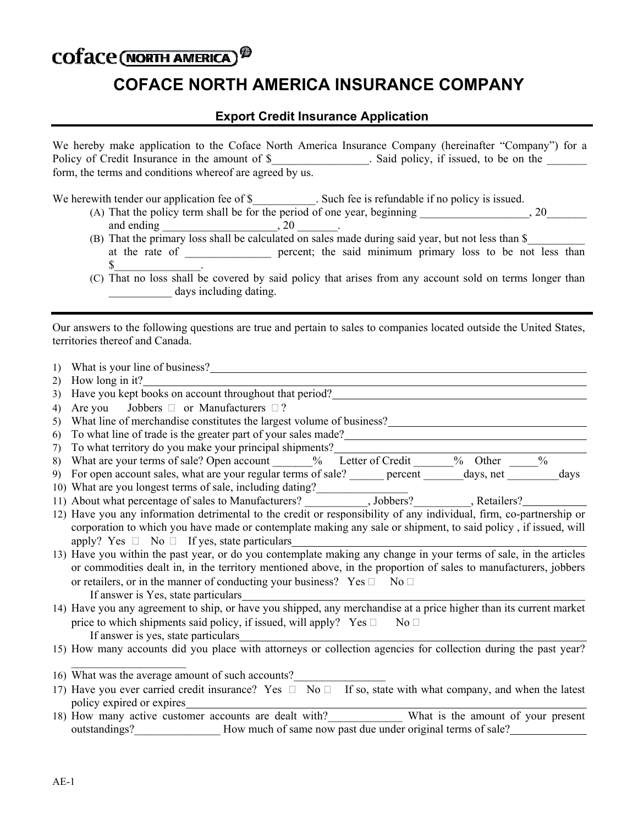## COTace (NORTH AMERICA)<sup><sup>®</sup></sup>

## **COFACE NORTH AMERICA INSURANCE COMPANY**

## **Export Credit Insurance Application**

| We hereby make application to the Coface North America Insurance Company (hereinafter "Company") for a |                                      |
|--------------------------------------------------------------------------------------------------------|--------------------------------------|
| Policy of Credit Insurance in the amount of \$                                                         | Said policy, if issued, to be on the |
| form, the terms and conditions whereof are agreed by us.                                               |                                      |

We herewith tender our application fee of \$\_\_\_\_\_\_\_\_\_\_\_. Such fee is refundable if no policy is issued.

- (A) That the policy term shall be for the period of one year, beginning  $\qquad \qquad$  , 20 and ending  $\qquad \qquad , 20$
- (B) That the primary loss shall be calculated on sales made during said year, but not less than \$\_\_\_\_\_\_\_\_\_\_ at the rate of \_\_\_\_\_\_\_\_\_\_\_\_ percent; the said minimum primary loss to be not less than  $\$\quad$
- (C) That no loss shall be covered by said policy that arises from any account sold on terms longer than days including dating.

Our answers to the following questions are true and pertain to sales to companies located outside the United States, territories thereof and Canada.

| $\left( \right)$ |                                                                                                                                                           |
|------------------|-----------------------------------------------------------------------------------------------------------------------------------------------------------|
| 2)               | How long in it?                                                                                                                                           |
| 3)               | Have you kept books on account throughout that period?<br><u>Letting</u>                                                                                  |
| 4)               | Are you Jobbers $\Box$ or Manufacturers $\Box$ ?                                                                                                          |
| 5)               | What line of merchandise constitutes the largest volume of business?                                                                                      |
| 6)               | To what line of trade is the greater part of your sales made?                                                                                             |
| 7)               |                                                                                                                                                           |
| 8)               |                                                                                                                                                           |
| 9)               | For open account sales, what are your regular terms of sale? ______ percent _______ days, net ________ days                                               |
|                  |                                                                                                                                                           |
|                  |                                                                                                                                                           |
|                  | 12) Have you any information detrimental to the credit or responsibility of any individual, firm, co-partnership or                                       |
|                  | corporation to which you have made or contemplate making any sale or shipment, to said policy, if issued, will                                            |
|                  | apply? Yes $\Box$ No $\Box$ If yes, state particulars                                                                                                     |
|                  | 13) Have you within the past year, or do you contemplate making any change in your terms of sale, in the articles                                         |
|                  | or commodities dealt in, in the territory mentioned above, in the proportion of sales to manufacturers, jobbers                                           |
|                  | or retailers, or in the manner of conducting your business? $Yes \Box No \Box$                                                                            |
|                  | If answer is Yes, state particulars<br>14) Have you any agreement to ship, or have you shipped, any merchandise at a price higher than its current market |
|                  |                                                                                                                                                           |
|                  | price to which shipments said policy, if issued, will apply? $Yes \Box \qquad No \Box$                                                                    |
|                  | If answer is yes, state particulars                                                                                                                       |
|                  | 15) How many accounts did you place with attorneys or collection agencies for collection during the past year?                                            |
|                  |                                                                                                                                                           |
|                  | 16) What was the average amount of such accounts?                                                                                                         |
|                  | 17) Have you ever carried credit insurance? Yes $\Box$ No $\Box$ If so, state with what company, and when the latest                                      |
|                  | policy expired or expires                                                                                                                                 |
|                  | 18) How many active customer accounts are dealt with? What is the amount of your present                                                                  |
|                  | outstandings? How much of same now past due under original terms of sale?                                                                                 |
|                  |                                                                                                                                                           |